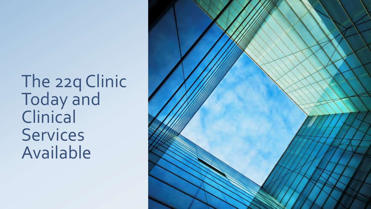The 22q Clinic Today and Clinical **Services** Available

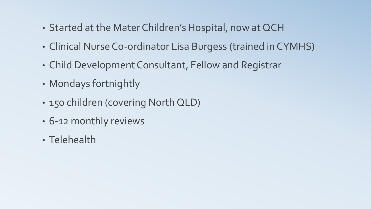- Started at the Mater Children's Hospital, now at QCH
- Clinical Nurse Co-ordinator Lisa Burgess (trained in CYMHS)
- Child Development Consultant, Fellow and Registrar
- Mondays fortnightly
- 150 children (covering North QLD)
- 6-12 monthly reviews
- Telehealth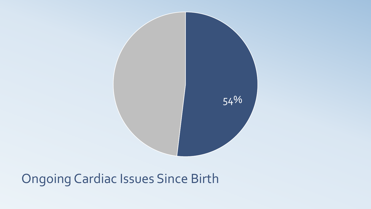

# Ongoing Cardiac Issues Since Birth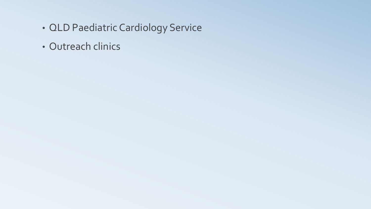- QLD Paediatric Cardiology Service
- Outreach clinics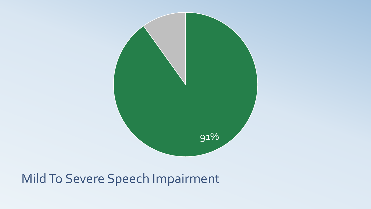

#### Mild To Severe Speech Impairment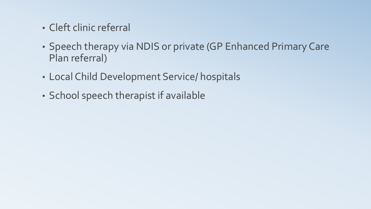- Cleft clinic referral
- Speech therapy via NDIS or private (GP Enhanced Primary Care Plan referral)
- Local Child Development Service/ hospitals
- School speech therapist if available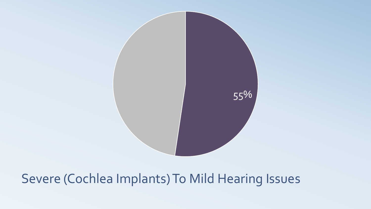

#### Severe (Cochlea Implants) To Mild Hearing Issues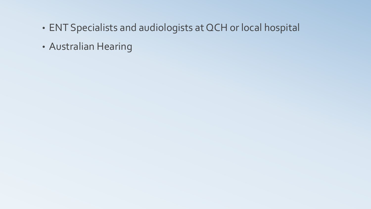- ENT Specialists and audiologists at QCH or local hospital
- Australian Hearing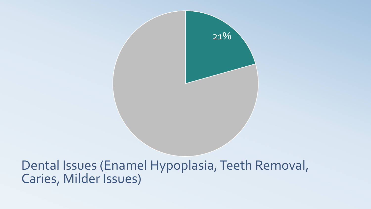

#### Dental Issues (Enamel Hypoplasia, Teeth Removal, Caries, Milder Issues)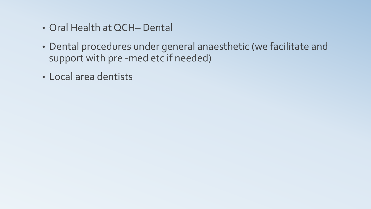- Oral Health at QCH– Dental
- Dental procedures under general anaesthetic (we facilitate and support with pre -med etc if needed)
- Local area dentists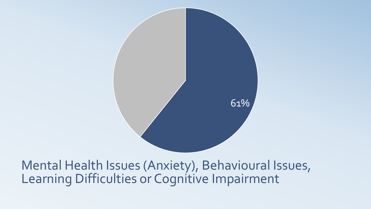

Mental Health Issues (Anxiety), Behavioural Issues, Learning Difficulties or Cognitive Impairment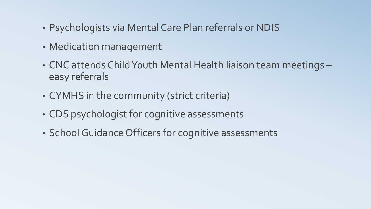- Psychologists via Mental Care Plan referrals or NDIS
- Medication management
- CNC attends Child Youth Mental Health liaison team meetings easy referrals
- CYMHS in the community (strict criteria)
- CDS psychologist for cognitive assessments
- School Guidance Officers for cognitive assessments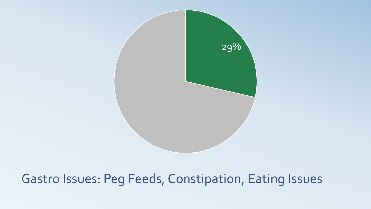

## Gastro Issues: Peg Feeds, Constipation, Eating Issues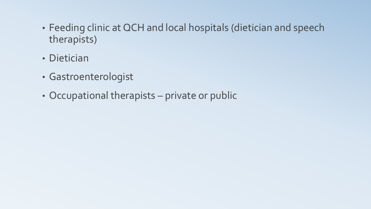- Feeding clinic at QCH and local hospitals (dietician and speech therapists)
- Dietician
- Gastroenterologist
- Occupational therapists private or public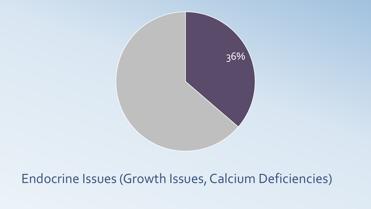

## Endocrine Issues (Growth Issues, Calcium Deficiencies)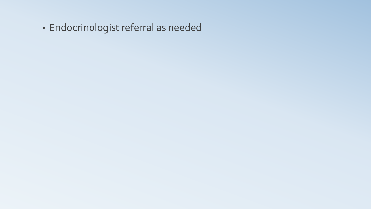• Endocrinologist referral as needed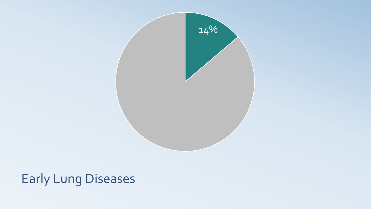

## Early Lung Diseases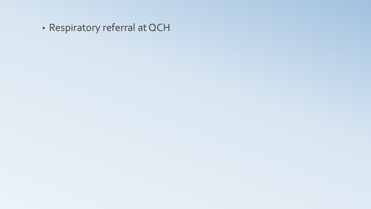• Respiratory referral at QCH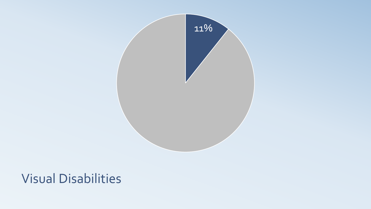

#### Visual Disabilities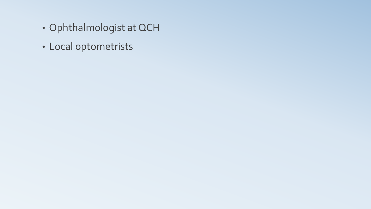- Ophthalmologist at QCH
- Local optometrists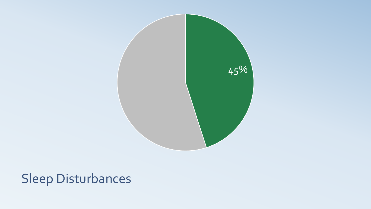

# Sleep Disturbances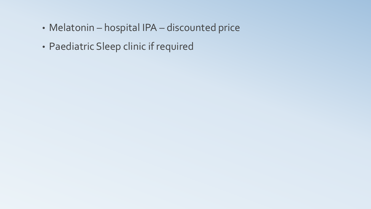- Melatonin hospital IPA discounted price
- Paediatric Sleep clinic if required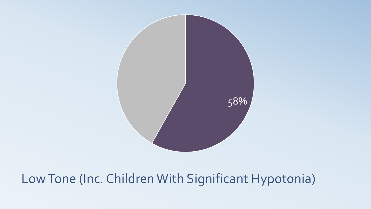

# Low Tone (Inc. Children With Significant Hypotonia)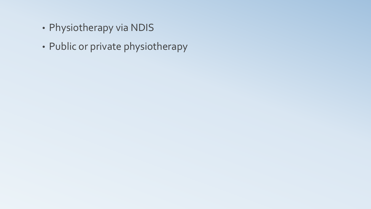- Physiotherapy via NDIS
- Public or private physiotherapy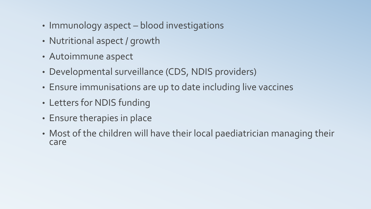- Immunology aspect blood investigations
- Nutritional aspect / growth
- Autoimmune aspect
- Developmental surveillance (CDS, NDIS providers)
- Ensure immunisations are up to date including live vaccines
- Letters for NDIS funding
- Ensure therapies in place
- Most of the children will have their local paediatrician managing their care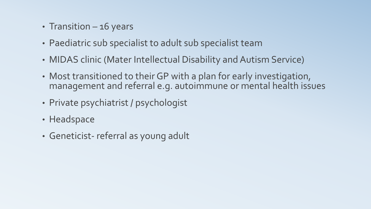- Transition 16 years
- Paediatric sub specialist to adult sub specialist team
- MIDAS clinic (Mater Intellectual Disability and Autism Service)
- Most transitioned to their GP with a plan for early investigation, management and referral e.g. autoimmune or mental health issues
- Private psychiatrist / psychologist
- Headspace
- Geneticist- referral as young adult